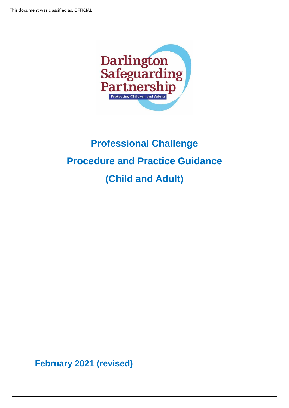

# **Professional Challenge Procedure and Practice Guidance (Child and Adult)**

**February 2021 (revised)**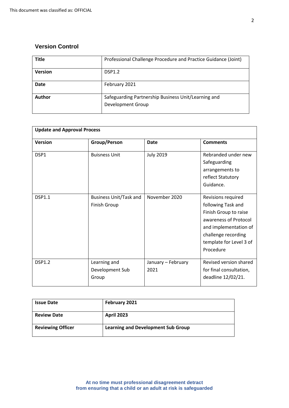### **Version Control**

| <b>Title</b>   | Professional Challenge Procedure and Practice Guidance (Joint) |
|----------------|----------------------------------------------------------------|
| <b>Version</b> | <b>DSP1.2</b>                                                  |
| <b>Date</b>    | February 2021                                                  |
| Author         | Safeguarding Partnership Business Unit/Learning and            |
|                | Development Group                                              |

| <b>Update and Approval Process</b> |                                                      |                            |                                                                                                                                                                                    |  |
|------------------------------------|------------------------------------------------------|----------------------------|------------------------------------------------------------------------------------------------------------------------------------------------------------------------------------|--|
| <b>Version</b>                     | Group/Person                                         | <b>Date</b>                | <b>Comments</b>                                                                                                                                                                    |  |
| DSP1                               | <b>Buisness Unit</b>                                 | <b>July 2019</b>           | Rebranded under new<br>Safeguarding<br>arrangements to<br>reflect Statutory<br>Guidance.                                                                                           |  |
| <b>DSP1.1</b>                      | <b>Business Unit/Task and</b><br><b>Finish Group</b> | November 2020              | Revisions required<br>following Task and<br>Finish Group to raise<br>awareness of Protocol<br>and implementation of<br>challenge recording<br>template for Level 3 of<br>Procedure |  |
| <b>DSP1.2</b>                      | Learning and<br>Development Sub<br>Group             | January - February<br>2021 | Revised version shared<br>for final consultation,<br>deadline 12/02/21.                                                                                                            |  |

| <b>Issue Date</b>        | February 2021                             |
|--------------------------|-------------------------------------------|
| <b>Review Date</b>       | <b>April 2023</b>                         |
| <b>Reviewing Officer</b> | <b>Learning and Development Sub Group</b> |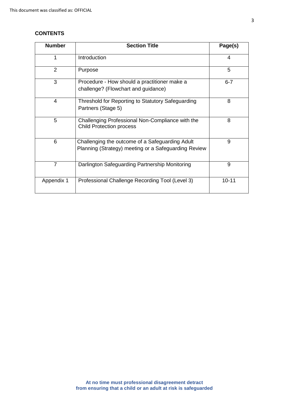#### **CONTENTS**

| <b>Number</b>  | <b>Section Title</b>                                                                                    | Page(s)   |
|----------------|---------------------------------------------------------------------------------------------------------|-----------|
| 1              | Introduction                                                                                            | 4         |
| 2              | Purpose                                                                                                 | 5         |
| 3              | Procedure - How should a practitioner make a<br>challenge? (Flowchart and guidance)                     | $6 - 7$   |
| 4              | Threshold for Reporting to Statutory Safeguarding<br>Partners (Stage 5)                                 | 8         |
| 5              | Challenging Professional Non-Compliance with the<br><b>Child Protection process</b>                     | 8         |
| 6              | Challenging the outcome of a Safeguarding Adult<br>Planning (Strategy) meeting or a Safeguarding Review | 9         |
| $\overline{7}$ | Darlington Safeguarding Partnership Monitoring                                                          | 9         |
| Appendix 1     | Professional Challenge Recording Tool (Level 3)                                                         | $10 - 11$ |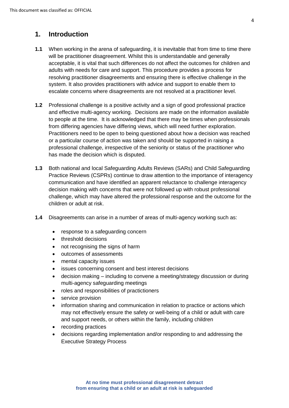## **1. Introduction**

- **1.1** When working in the arena of safeguarding, it is inevitable that from time to time there will be practitioner disagreement. Whilst this is understandable and generally acceptable, it is vital that such differences do not affect the outcomes for children and adults with needs for care and support. This procedure provides a process for resolving practitioner disagreements and ensuring there is effective challenge in the system. It also provides practitioners with advice and support to enable them to escalate concerns where disagreements are not resolved at a practitioner level.
- **1.2** Professional challenge is a positive activity and a sign of good professional practice and effective multi-agency working. Decisions are made on the information available to people at the time. It is acknowledged that there may be times when professionals from differing agencies have differing views, which will need further exploration. Practitioners need to be open to being questioned about how a decision was reached or a particular course of action was taken and should be supported in raising a professional challenge, irrespective of the seniority or status of the practitioner who has made the decision which is disputed.
- **1.3** Both national and local Safeguarding Adults Reviews (SARs) and Child Safeguarding Practice Reviews (CSPRs) continue to draw attention to the importance of interagency communication and have identified an apparent reluctance to challenge interagency decision making with concerns that were not followed up with robust professional challenge, which may have altered the professional response and the outcome for the children or adult at risk.
- **1.4** Disagreements can arise in a number of areas of multi-agency working such as:
	- response to a safeguarding concern
	- threshold decisions
	- not recognising the signs of harm
	- outcomes of assessments
	- mental capacity issues
	- issues concerning consent and best interest decisions
	- decision making including to convene a meeting/strategy discussion or during multi-agency safeguarding meetings
	- roles and responsibilities of practictioners
	- service provision
	- information sharing and communication in relation to practice or actions which may not effectively ensure the safety or well-being of a child or adult with care and support needs, or others within the family, including children
	- recording practices
	- decisions regarding implementation and/or responding to and addressing the Executive Strategy Process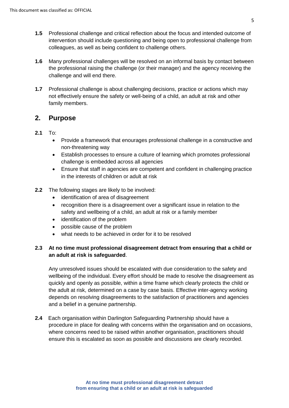- **1.5** Professional challenge and critical reflection about the focus and intended outcome of intervention should include questioning and being open to professional challenge from colleagues, as well as being confident to challenge others.
- **1.6** Many professional challenges will be resolved on an informal basis by contact between the professional raising the challenge (or their manager) and the agency receiving the challenge and will end there.
- **1.7** Professional challenge is about challenging decisions, practice or actions which may not effectively ensure the safety or well-being of a child, an adult at risk and other family members.

#### **2. Purpose**

#### **2.1** To:

- Provide a framework that enourages professional challenge in a constructive and non-threatening way
- Establish processes to ensure a culture of learning which promotes professional challenge is embedded across all agencies
- Ensure that staff in agencies are competent and confident in challenging practice in the interests of children or adult at risk
- **2.2** The following stages are likely to be involved:
	- identification of area of disagreement
	- recognition there is a disagreement over a significant issue in relation to the safety and wellbeing of a child, an adult at risk or a family member
	- identification of the problem
	- possible cause of the problem
	- what needs to be achieved in order for it to be resolved

#### **2.3 At no time must professional disagreement detract from ensuring that a child or an adult at risk is safeguarded**.

Any unresolved issues should be escalated with due consideration to the safety and wellbeing of the individual. Every effort should be made to resolve the disagreement as quickly and openly as possible, within a time frame which clearly protects the child or the adult at risk, determined on a case by case basis. Effective inter-agency working depends on resolving disagreements to the satisfaction of practitioners and agencies and a belief in a genuine partnership.

**2.4** Each organisation within Darlington Safeguarding Partnership should have a procedure in place for dealing with concerns within the organisation and on occasions, where concerns need to be raised within another organisation, practitioners should ensure this is escalated as soon as possible and discussions are clearly recorded.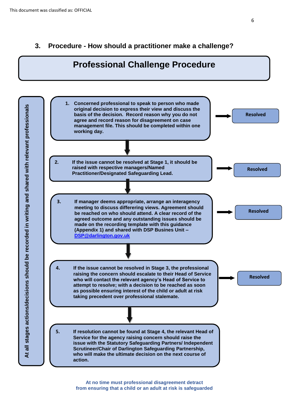## **3. Procedure - How should a practitioner make a challenge?**

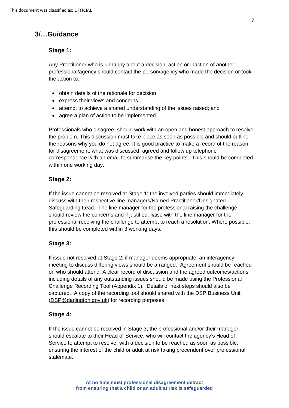## **3/…Guidance**

#### **Stage 1:**

Any Practitioner who is unhappy about a decision, action or inaction of another professional/agency should contact the person/agency who made the decision or took the action to:

- obtain details of the rationale for decision
- express their views and concerns
- attempt to achieve a shared understanding of the issues raised; and
- agree a plan of action to be implemented

Professionals who disagree, should work with an open and honest approach to resolve the problem. This discussion must take place as soon as possible and should outline the reasons why you do not agree. It is good practice to make a record of the reason for disagreement, what was discussed, agreed and follow up telephone correspondence with an email to summarise the key points. This should be completed within one working day.

#### **Stage 2:**

If the issue cannot be resolved at Stage 1; the involved parties should immediately discuss with their respective line managers/Named Practitioner/Designated Safeguarding Lead. The line manager for the professional raising the challenge should review the concerns and if justified; liaise with the line manager for the professional receiving the challenge to attempt to reach a resolution. Where possible, this should be completed within 3 working days.

#### **Stage 3:**

If issue not resolved at Stage 2; if manager deems appropriate, an interagency meeting to discuss differing views should be arranged. Agreement should be reached on who should attend. A clear record of discussion and the agreed outcomes/actions including details of any outstanding issues should be made using the Professional Challenge Recording Tool (Appendix 1). Details of next steps should also be captured. A copy of the recording tool should shared with the DSP Business Unit [\(DSP@darlington.gov.uk\)](mailto:DSP@darlington.gov.uk) for recording purposes.

#### **Stage 4:**

If the issue cannot be resolved in Stage 3; the professional and/or their manager should escalate to their Head of Service, who will contact the agency's Head of Service to attempt to resolve; with a decision to be reached as soon as possible, ensuring the interest of the child or adult at risk taking precendent over professional stalemate.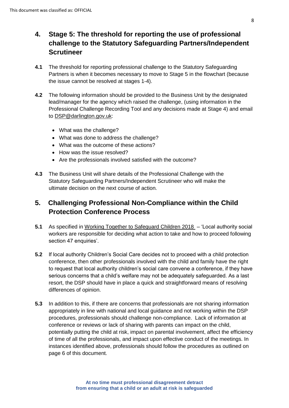## **4. Stage 5: The threshold for reporting the use of professional challenge to the Statutory Safeguarding Partners/Independent Scrutineer**

- **4.1** The threshold for reporting professional challenge to the Statutory Safeguarding Partners is when it becomes necessary to move to Stage 5 in the flowchart (because the issue cannot be resolved at stages 1-4).
- **4.2** The following information should be provided to the Business Unit by the designated lead/manager for the agency which raised the challenge, (using information in the Professional Challenge Recording Tool and any decisions made at Stage 4) and email to [DSP@darlington.gov.uk:](mailto:DSP@darlington.gov.uk)
	- What was the challenge?
	- What was done to address the challenge?
	- What was the outcome of these actions?
	- How was the issue resolved?
	- Are the professionals involved satisfied with the outcome?
- **4.3** The Business Unit will share details of the Professional Challenge with the Statutory Safeguarding Partners/Independent Scrutineer who will make the ultimate decision on the next course of action.

## **5. Challenging Professional Non-Compliance within the Child Protection Conference Process**

- **5.1** As specified in [Working Together to Safeguard Children 2018](https://www.gov.uk/government/publications/working-together-to-safeguard-children--2)  'Local authority social workers are responsible for deciding what action to take and how to proceed following section 47 enquiries'.
- **5.2** If local authority Children's Social Care decides not to proceed with a child protection conference, then other professionals involved with the child and family have the right to request that local authority children's social care convene a conference, if they have serious concerns that a child's welfare may not be adequately safeguarded. As a last resort, the DSP should have in place a quick and straightforward means of resolving differences of opinion.
- **5.3** In addition to this, if there are concerns that professionals are not sharing information appropriately in line with national and local guidance and not working within the DSP procedures, professionals should challenge non-compliance. Lack of information at conference or reviews or lack of sharing with parents can impact on the child, potentially putting the child at risk, impact on parental involvement, affect the efficiency of time of all the professionals, and impact upon effective conduct of the meetings. In instances identified above, professionals should follow the procedures as outlined on page 6 of this document.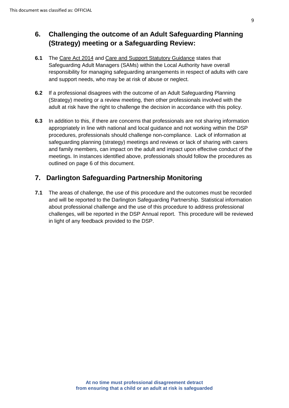# **6. Challenging the outcome of an Adult Safeguarding Planning (Strategy) meeting or a Safeguarding Review:**

- **6.1** The [Care Act 2014](http://www.legislation.gov.uk/ukpga/2014/23/contents/enacted) and [Care and Support Statutory Guidance](https://www.gov.uk/government/publications/care-act-statutory-guidance/care-and-support-statutory-guidance) states that Safeguarding Adult Managers (SAMs) within the Local Authority have overall responsibility for managing safeguarding arrangements in respect of adults with care and support needs, who may be at risk of abuse or neglect.
- **6.2** If a professional disagrees with the outcome of an Adult Safeguarding Planning (Strategy) meeting or a review meeting, then other professionals involved with the adult at risk have the right to challenge the decision in accordance with this policy.
- **6.3** In addition to this, if there are concerns that professionals are not sharing information appropriately in line with national and local guidance and not working within the DSP procedures, professionals should challenge non-compliance. Lack of information at safeguarding planning (strategy) meetings and reviews or lack of sharing with carers and family members, can impact on the adult and impact upon effective conduct of the meetings. In instances identified above, professionals should follow the procedures as outlined on page 6 of this document.

# **7. Darlington Safeguarding Partnership Monitoring**

**7.1** The areas of challenge, the use of this procedure and the outcomes must be recorded and will be reported to the Darlington Safeguarding Partnership. Statistical information about professional challenge and the use of this procedure to address professional challenges, will be reported in the DSP Annual report. This procedure will be reviewed in light of any feedback provided to the DSP.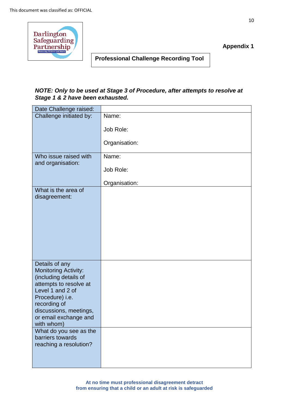

**Appendix 1**

**Professional Challenge Recording Tool**

#### *NOTE: Only to be used at Stage 3 of Procedure, after attempts to resolve at Stage 1 & 2 have been exhausted.*

| Date Challenge raised:                               |               |
|------------------------------------------------------|---------------|
| Challenge initiated by:                              | Name:         |
|                                                      | Job Role:     |
|                                                      | Organisation: |
| Who issue raised with<br>and organisation:           | Name:         |
|                                                      | Job Role:     |
|                                                      | Organisation: |
| What is the area of<br>disagreement:                 |               |
|                                                      |               |
|                                                      |               |
|                                                      |               |
|                                                      |               |
|                                                      |               |
| Details of any                                       |               |
| <b>Monitoring Activity:</b><br>(including details of |               |
| attempts to resolve at<br>Level 1 and 2 of           |               |
| Procedure) i.e.                                      |               |
| recording of<br>discussions, meetings,               |               |
| or email exchange and                                |               |
| with whom)                                           |               |
| What do you see as the<br>barriers towards           |               |
| reaching a resolution?                               |               |
|                                                      |               |
|                                                      |               |